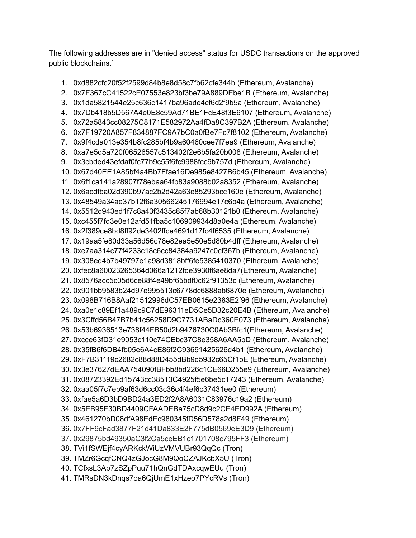The following addresses are in "denied access" status for USDC transactions on the approved public blockchains. 1

1. 0xd882cfc20f52f2599d84b8e8d58c7fb62cfe344b (Ethereum, Avalanche) 2. 0x7F367cC41522cE07553e823bf3be79A889DEbe1B (Ethereum, Avalanche) 3. 0x1da5821544e25c636c1417ba96ade4cf6d2f9b5a (Ethereum, Avalanche) 4. 0x7Db418b5D567A4e0E8c59Ad71BE1FcE48f3E6107 (Ethereum, Avalanche) 5. 0x72a5843cc08275C8171E582972Aa4fDa8C397B2A (Ethereum, Avalanche) 6. 0x7F19720A857F834887FC9A7bC0a0fBe7Fc7f8102 (Ethereum, Avalanche) 7. 0x9f4cda013e354b8fc285bf4b9a60460cee7f7ea9 (Ethereum, Avalanche) 8. 0xa7e5d5a720f06526557c513402f2e6b5fa20b008 (Ethereum, Avalanche) 9. 0x3cbded43efdaf0fc77b9c55f6fc9988fcc9b757d (Ethereum, Avalanche) 10. 0x67d40EE1A85bf4a4Bb7Ffae16De985e8427B6b45 (Ethereum, Avalanche) 11. 0x6f1ca141a28907f78ebaa64fb83a9088b02a8352 (Ethereum, Avalanche) 12. 0x6acdfba02d390b97ac2b2d42a63e85293bcc160e (Ethereum, Avalanche) 13. 0x48549a34ae37b12f6a30566245176994e17c6b4a (Ethereum, Avalanche) 14. 0x5512d943ed1f7c8a43f3435c85f7ab68b30121b0 (Ethereum, Avalanche) 15. 0xc455f7fd3e0e12afd51fba5c106909934d8a0e4a (Ethereum, Avalanche) 16. 0x2f389ce8bd8ff92de3402ffce4691d17fc4f6535 (Ethereum, Avalanche) 17. 0x19aa5fe80d33a56d56c78e82ea5e50e5d80b4dff (Ethereum, Avalanche) 18. 0xe7aa314c77f4233c18c6cc84384a9247c0cf367b (Ethereum, Avalanche) 19. 0x308ed4b7b49797e1a98d3818bff6fe5385410370 (Ethereum, Avalanche) 20. 0xfec8a60023265364d066a1212fde3930f6ae8da7(Ethereum, Avalanche) 21. 0x8576acc5c05d6ce88f4e49bf65bdf0c62f91353c (Ethereum, Avalanche) 22. 0x901bb9583b24d97e995513c6778dc6888ab6870e (Ethereum, Avalanche) 23. 0x098B716B8Aaf21512996dC57EB0615e2383E2f96 (Ethereum, Avalanche) 24. 0xa0e1c89Ef1a489c9C7dE96311eD5Ce5D32c20E4B (Ethereum, Avalanche) 25. 0x3Cffd56B47B7b41c56258D9C7731ABaDc360E073 (Ethereum, Avalanche) 26. 0x53b6936513e738f44FB50d2b9476730C0Ab3Bfc1(Ethereum, Avalanche) 27. 0xcce63fD31e9053c110c74CEbc37C8e358A6AA5bD (Ethereum, Avalanche) 28. 0x35fB6f6DB4fb05e6A4cE86f2C93691425626d4b1 (Ethereum, Avalanche) 29. 0xF7B31119c2682c88d88D455dBb9d5932c65Cf1bE (Ethereum, Avalanche) 30. 0x3e37627dEAA754090fBFbb8bd226c1CE66D255e9 (Ethereum, Avalanche) 31. 0x08723392Ed15743cc38513C4925f5e6be5c17243 (Ethereum, Avalanche) 32. 0xaa05f7c7eb9af63d6cc03c36c4f4ef6c37431ee0 (Ethereum) 33. 0xfae5a6D3bD9BD24a3ED2f2A8A6031C83976c19a2 (Ethereum) 34. 0x5EB95F30BD4409CFAADEBa75cD8d9c2CE4ED992A (Ethereum) 35. 0x461270bD08dfA98EdEc980345fD56D578a2d8F49 (Ethereum) 36. 0x7FF9cFad3877F21d41Da833E2F775dB0569eE3D9 (Ethereum) 37. 0x29875bd49350aC3f2Ca5ceEB1c1701708c795FF3 (Ethereum) 38. TVi1fSWEjf4cyARKckWiUzVMVUBr93QqQc (Tron) 39. TMZr6GcqfCNQ4zGJocG8M9QoCZAJKcbX5U (Tron) 40. TCfxsL3Ab7zSZpPuu71hQnGdTDAxcqwEUu (Tron) 41. TMRsDN3kDnqs7oa6QjUmE1xHzeo7PYcRVs (Tron)